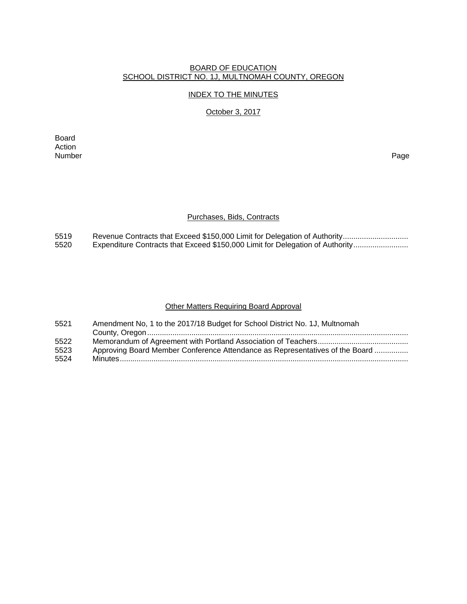# BOARD OF EDUCATION SCHOOL DISTRICT NO. 1J, MULTNOMAH COUNTY, OREGON

#### INDEX TO THE MINUTES

## October 3, 2017

Board Action<br>Number Number Page

#### Purchases, Bids, Contracts

5519 Revenue Contracts that Exceed \$150,000 Limit for Delegation of Authority ...............................<br>5520 Expenditure Contracts that Exceed \$150,000 Limit for Delegation of Authority ........................... Expenditure Contracts that Exceed \$150,000 Limit for Delegation of Authority .........................

#### Other Matters Requiring Board Approval

| 5521 | Amendment No, 1 to the 2017/18 Budget for School District No. 1J, Multnomah  |
|------|------------------------------------------------------------------------------|
|      |                                                                              |
| 5522 |                                                                              |
| 5523 | Approving Board Member Conference Attendance as Representatives of the Board |
| 5524 |                                                                              |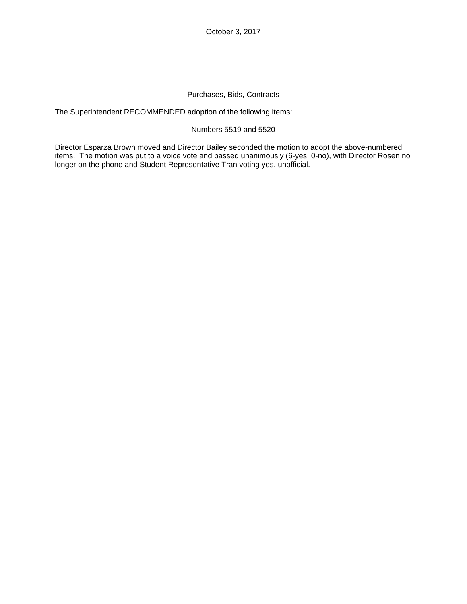October 3, 2017

# Purchases, Bids, Contracts

The Superintendent RECOMMENDED adoption of the following items:

#### Numbers 5519 and 5520

Director Esparza Brown moved and Director Bailey seconded the motion to adopt the above-numbered items. The motion was put to a voice vote and passed unanimously (6-yes, 0-no), with Director Rosen no longer on the phone and Student Representative Tran voting yes, unofficial.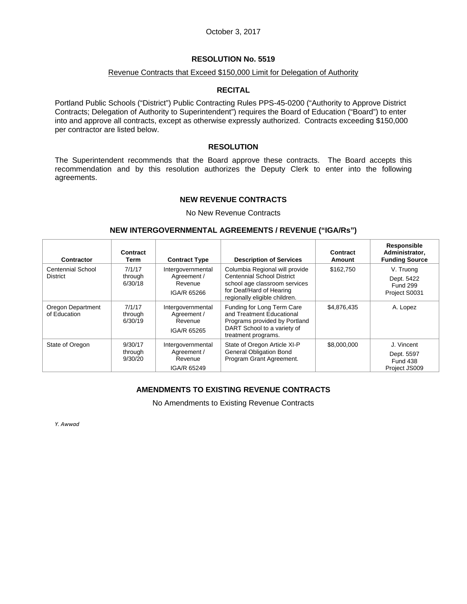### October 3, 2017

### **RESOLUTION No. 5519**

#### Revenue Contracts that Exceed \$150,000 Limit for Delegation of Authority

#### **RECITAL**

Portland Public Schools ("District") Public Contracting Rules PPS-45-0200 ("Authority to Approve District Contracts; Delegation of Authority to Superintendent") requires the Board of Education ("Board") to enter into and approve all contracts, except as otherwise expressly authorized. Contracts exceeding \$150,000 per contractor are listed below.

#### **RESOLUTION**

The Superintendent recommends that the Board approve these contracts. The Board accepts this recommendation and by this resolution authorizes the Deputy Clerk to enter into the following agreements.

#### **NEW REVENUE CONTRACTS**

No New Revenue Contracts

#### **NEW INTERGOVERNMENTAL AGREEMENTS / REVENUE ("IGA/Rs")**

| Contractor                           | Contract<br>Term              | <b>Contract Type</b>                                       | <b>Description of Services</b>                                                                                                                                    | Contract<br>Amount | Responsible<br>Administrator,<br><b>Funding Source</b>       |
|--------------------------------------|-------------------------------|------------------------------------------------------------|-------------------------------------------------------------------------------------------------------------------------------------------------------------------|--------------------|--------------------------------------------------------------|
| Centennial School<br><b>District</b> | 7/1/17<br>through<br>6/30/18  | Intergovernmental<br>Agreement /<br>Revenue<br>IGA/R 65266 | Columbia Regional will provide<br><b>Centennial School District</b><br>school age classroom services<br>for Deaf/Hard of Hearing<br>regionally eligible children. | \$162,750          | V. Truong<br>Dept. 5422<br><b>Fund 299</b><br>Project S0031  |
| Oregon Department<br>of Education    | 7/1/17<br>through<br>6/30/19  | Intergovernmental<br>Agreement /<br>Revenue<br>IGA/R 65265 | Funding for Long Term Care<br>and Treatment Educational<br>Programs provided by Portland<br>DART School to a variety of<br>treatment programs.                    | \$4,876,435        | A. Lopez                                                     |
| State of Oregon                      | 9/30/17<br>through<br>9/30/20 | Intergovernmental<br>Agreement /<br>Revenue<br>IGA/R 65249 | State of Oregon Article XI-P<br><b>General Obligation Bond</b><br>Program Grant Agreement.                                                                        | \$8,000,000        | J. Vincent<br>Dept. 5597<br><b>Fund 438</b><br>Project JS009 |

# **AMENDMENTS TO EXISTING REVENUE CONTRACTS**

No Amendments to Existing Revenue Contracts

*Y. Awwad*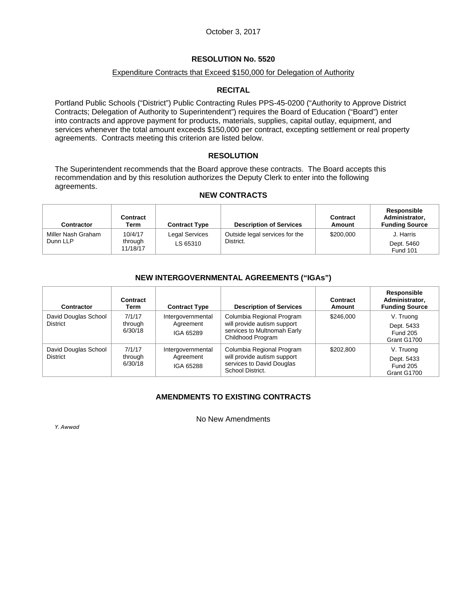## Expenditure Contracts that Exceed \$150,000 for Delegation of Authority

### **RECITAL**

Portland Public Schools ("District") Public Contracting Rules PPS-45-0200 ("Authority to Approve District Contracts; Delegation of Authority to Superintendent") requires the Board of Education ("Board") enter into contracts and approve payment for products, materials, supplies, capital outlay, equipment, and services whenever the total amount exceeds \$150,000 per contract, excepting settlement or real property agreements. Contracts meeting this criterion are listed below.

### **RESOLUTION**

The Superintendent recommends that the Board approve these contracts. The Board accepts this recommendation and by this resolution authorizes the Deputy Clerk to enter into the following agreements.

#### **NEW CONTRACTS**

| Contractor                     | <b>Contract</b><br>Term        | <b>Contract Type</b>       | <b>Description of Services</b>              | Contract<br>Amount | Responsible<br>Administrator,<br><b>Funding Source</b> |
|--------------------------------|--------------------------------|----------------------------|---------------------------------------------|--------------------|--------------------------------------------------------|
| Miller Nash Graham<br>Dunn LLP | 10/4/17<br>through<br>11/18/17 | Legal Services<br>LS 65310 | Outside legal services for the<br>District. | \$200,000          | J. Harris<br>Dept. 5460<br><b>Fund 101</b>             |

### **NEW INTERGOVERNMENTAL AGREEMENTS ("IGAs")**

| <b>Contractor</b>                       | Contract<br>Term             | <b>Contract Type</b>                        | <b>Description of Services</b>                                                                               | Contract<br>Amount | <b>Responsible</b><br>Administrator,<br><b>Funding Source</b> |
|-----------------------------------------|------------------------------|---------------------------------------------|--------------------------------------------------------------------------------------------------------------|--------------------|---------------------------------------------------------------|
| David Douglas School<br><b>District</b> | 7/1/17<br>through<br>6/30/18 | Intergovernmental<br>Agreement<br>IGA 65289 | Columbia Regional Program<br>will provide autism support<br>services to Multnomah Early<br>Childhood Program | \$246,000          | V. Truong<br>Dept. 5433<br><b>Fund 205</b><br>Grant G1700     |
| David Douglas School<br><b>District</b> | 7/1/17<br>through<br>6/30/18 | Intergovernmental<br>Agreement<br>IGA 65288 | Columbia Regional Program<br>will provide autism support<br>services to David Douglas<br>School District.    | \$202.800          | V. Truong<br>Dept. 5433<br><b>Fund 205</b><br>Grant G1700     |

# **AMENDMENTS TO EXISTING CONTRACTS**

No New Amendments

*Y. Awwad*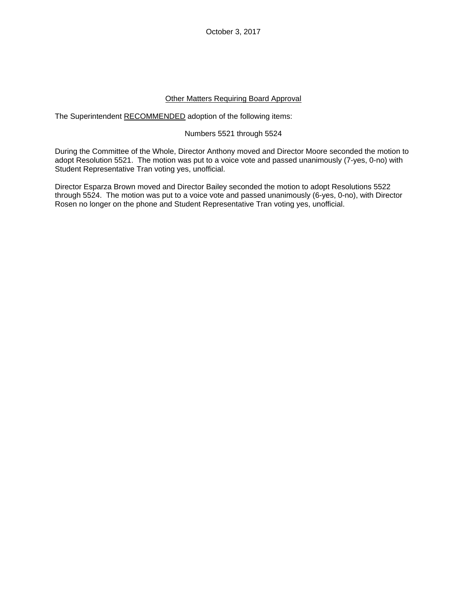October 3, 2017

### Other Matters Requiring Board Approval

The Superintendent RECOMMENDED adoption of the following items:

### Numbers 5521 through 5524

During the Committee of the Whole, Director Anthony moved and Director Moore seconded the motion to adopt Resolution 5521. The motion was put to a voice vote and passed unanimously (7-yes, 0-no) with Student Representative Tran voting yes, unofficial.

Director Esparza Brown moved and Director Bailey seconded the motion to adopt Resolutions 5522 through 5524. The motion was put to a voice vote and passed unanimously (6-yes, 0-no), with Director Rosen no longer on the phone and Student Representative Tran voting yes, unofficial.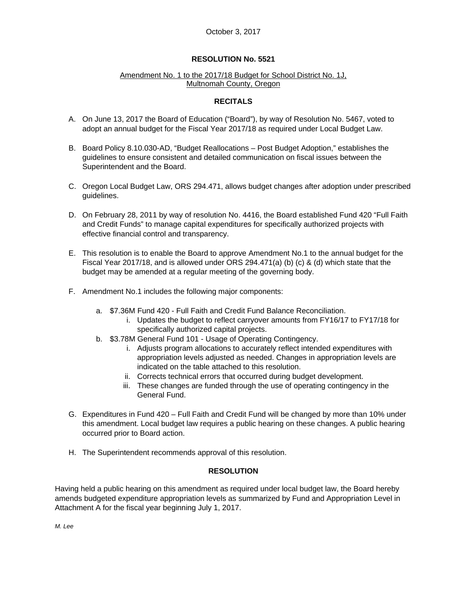#### Amendment No. 1 to the 2017/18 Budget for School District No. 1J, Multnomah County, Oregon

# **RECITALS**

- A. On June 13, 2017 the Board of Education ("Board"), by way of Resolution No. 5467, voted to adopt an annual budget for the Fiscal Year 2017/18 as required under Local Budget Law.
- B. Board Policy 8.10.030-AD, "Budget Reallocations Post Budget Adoption," establishes the guidelines to ensure consistent and detailed communication on fiscal issues between the Superintendent and the Board.
- C. Oregon Local Budget Law, ORS 294.471, allows budget changes after adoption under prescribed guidelines.
- D. On February 28, 2011 by way of resolution No. 4416, the Board established Fund 420 "Full Faith and Credit Funds" to manage capital expenditures for specifically authorized projects with effective financial control and transparency.
- E. This resolution is to enable the Board to approve Amendment No.1 to the annual budget for the Fiscal Year 2017/18, and is allowed under ORS 294.471(a) (b) (c) & (d) which state that the budget may be amended at a regular meeting of the governing body.
- F. Amendment No.1 includes the following major components:
	- a. \$7.36M Fund 420 Full Faith and Credit Fund Balance Reconciliation.
		- i. Updates the budget to reflect carryover amounts from FY16/17 to FY17/18 for specifically authorized capital projects.
	- b. \$3.78M General Fund 101 Usage of Operating Contingency.
		- i. Adjusts program allocations to accurately reflect intended expenditures with appropriation levels adjusted as needed. Changes in appropriation levels are indicated on the table attached to this resolution.
		- ii. Corrects technical errors that occurred during budget development.
		- iii. These changes are funded through the use of operating contingency in the General Fund.
- G. Expenditures in Fund 420 Full Faith and Credit Fund will be changed by more than 10% under this amendment. Local budget law requires a public hearing on these changes. A public hearing occurred prior to Board action.
- H. The Superintendent recommends approval of this resolution.

# **RESOLUTION**

Having held a public hearing on this amendment as required under local budget law, the Board hereby amends budgeted expenditure appropriation levels as summarized by Fund and Appropriation Level in Attachment A for the fiscal year beginning July 1, 2017.

*M. Lee*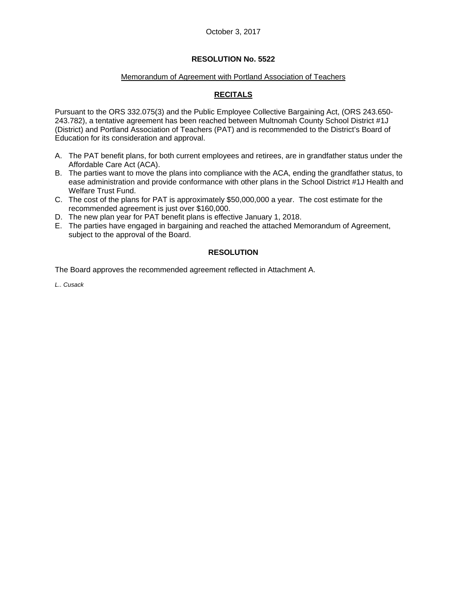### Memorandum of Agreement with Portland Association of Teachers

# **RECITALS**

Pursuant to the ORS 332.075(3) and the Public Employee Collective Bargaining Act, (ORS 243.650- 243.782), a tentative agreement has been reached between Multnomah County School District #1J (District) and Portland Association of Teachers (PAT) and is recommended to the District's Board of Education for its consideration and approval.

- A. The PAT benefit plans, for both current employees and retirees, are in grandfather status under the Affordable Care Act (ACA).
- B. The parties want to move the plans into compliance with the ACA, ending the grandfather status, to ease administration and provide conformance with other plans in the School District #1J Health and Welfare Trust Fund.
- C. The cost of the plans for PAT is approximately \$50,000,000 a year. The cost estimate for the recommended agreement is just over \$160,000.
- D. The new plan year for PAT benefit plans is effective January 1, 2018.
- E. The parties have engaged in bargaining and reached the attached Memorandum of Agreement, subject to the approval of the Board.

# **RESOLUTION**

The Board approves the recommended agreement reflected in Attachment A.

*L.. Cusack*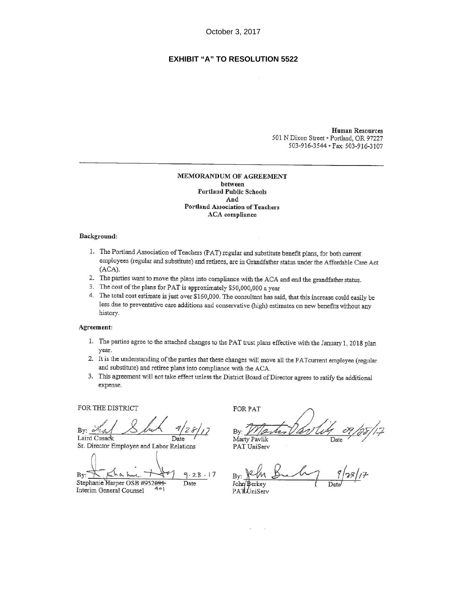# **EXHIBIT "A" TO RESOLUTION 5522**

**Human Resources** 501 N Dixon Street . Portland, OR 97227 503-916-3544 · Fax: 503-916-3107

#### MEMORANDUM OF AGREEMENT between **Portland Public Schools** And Portland Association of Teachers **ACA** compliance

#### Background:

- 1. The Portland Association of Teachers (PAT) regular and substitute benefit plans, for both current employees (regular and substitute) and retirees, are in Grandfather status under the Affordable Care Act  $(ACA).$
- 2. The parties want to move the plans into compliance with the ACA and end the grandfather status.
- 3. The cost of the plans for PAT is approximately \$50,000,000 a year
- 4. The total cost estimate is just over \$160,000. The consultant has said, that this increase could easily be less due to preventative care additions and conservative (high) estimates on new benefits without any history.

#### Agreement:

- 1. The parties agree to the attached changes to the PAT trust plans effective with the January 1, 2018 plan year.
- 2. It is the understanding of the parties that these changes will move all the PATcurrent employee (regular and substitute) and retiree plans into compliance with the ACA.
- 3. This agreement will not take effect unless the District Board of Director agrees to ratify the additional expense.

FOR THE DISTRICT

By:  $-2$ Laird Cusack Date

Sr. Director Employee and Labor Relations

By  $9.28.17$ Stephanie Harper OSB #952091 Date

Interim General Counsel

**FOR PAT** 

Bv: Marty Pavlik Date

PAT UniServ

John Berkey PATUniServ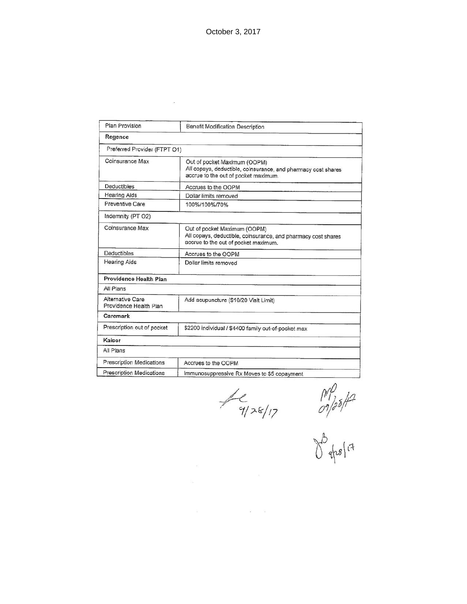| Plan Provision                             | Benefit Modification Description                                                                                                      |  |  |
|--------------------------------------------|---------------------------------------------------------------------------------------------------------------------------------------|--|--|
| Regence                                    |                                                                                                                                       |  |  |
| Preferred Provider (FTPT O1)               |                                                                                                                                       |  |  |
| Coinsurance Max                            | Out of pocket Maximum (OOPM)<br>All copays, deductible, coinsurance, and pharmacy cost shares<br>accrue to the out of pocket maximum. |  |  |
| <b>Deductibles</b>                         | Accrues to the OOPM                                                                                                                   |  |  |
| <b>Hearing Aids</b>                        | Dollar limits removed                                                                                                                 |  |  |
| Preventive Care                            | 100%/100%/70%                                                                                                                         |  |  |
| Indemnity (PT O2)                          |                                                                                                                                       |  |  |
| Coinsurance Max                            | Out of pocket Maximum (OOPM)<br>All copays, deductible, coinsurance, and pharmacy cost shares<br>accrue to the out of pocket maximum. |  |  |
| <b>Deductibles</b>                         | Accrues to the OOPM                                                                                                                   |  |  |
| <b>Hearing Aids</b>                        | Dollar limits removed                                                                                                                 |  |  |
| Providence Health Plan                     |                                                                                                                                       |  |  |
| All Plans                                  |                                                                                                                                       |  |  |
| Alternative Care<br>Providence Health Plan | Add acupuncture (\$10/20 Visit Limit)                                                                                                 |  |  |
| Caremark                                   |                                                                                                                                       |  |  |
| Prescription out of pocket                 | \$2200 individual / \$4400 family out-of-pocket max                                                                                   |  |  |
| Kaiser                                     |                                                                                                                                       |  |  |
| All Plans                                  |                                                                                                                                       |  |  |
| <b>Prescription Medications</b>            | Accrues to the OOPM                                                                                                                   |  |  |
| <b>Prescription Medications</b>            | Immunosuppressive Rx Moves to \$5 copayment                                                                                           |  |  |

 $f(1) = \frac{1}{2}$ 

 $\langle \hat{u} \rangle$ 

 $\hat{\mathbf{a}}$ 

 $\frac{1}{\frac{1}{25}}$